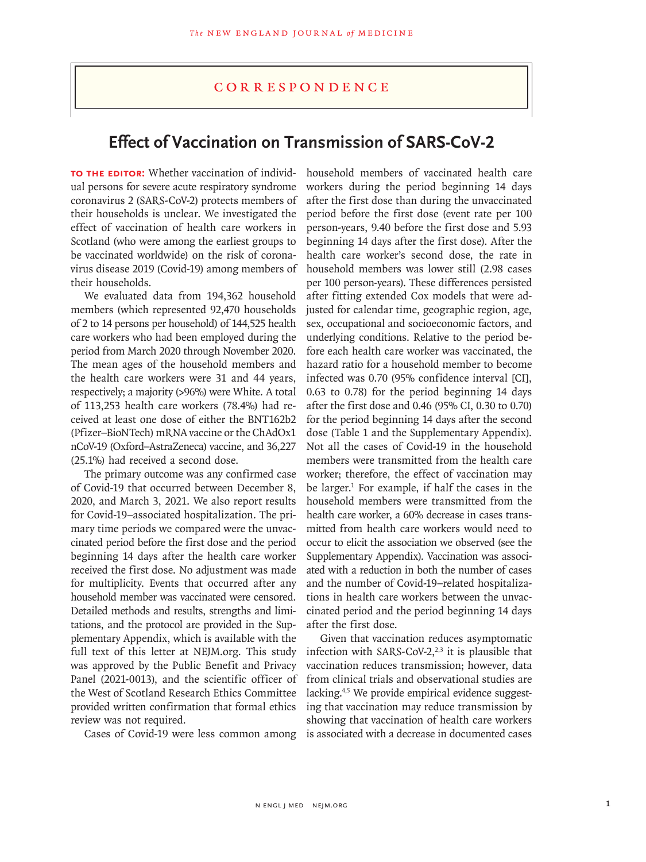## **CORRESPONDENCE**

## **Effect of Vaccination on Transmission of SARS-CoV-2**

**TO THE EDITOR:** Whether vaccination of individual persons for severe acute respiratory syndrome coronavirus 2 (SARS-CoV-2) protects members of their households is unclear. We investigated the effect of vaccination of health care workers in Scotland (who were among the earliest groups to be vaccinated worldwide) on the risk of coronavirus disease 2019 (Covid-19) among members of their households.

We evaluated data from 194,362 household members (which represented 92,470 households of 2 to 14 persons per household) of 144,525 health care workers who had been employed during the period from March 2020 through November 2020. The mean ages of the household members and the health care workers were 31 and 44 years, respectively; a majority (>96%) were White. A total of 113,253 health care workers (78.4%) had received at least one dose of either the BNT162b2 (Pfizer–BioNTech) mRNA vaccine or the ChAdOx1 nCoV-19 (Oxford–AstraZeneca) vaccine, and 36,227 (25.1%) had received a second dose.

The primary outcome was any confirmed case of Covid-19 that occurred between December 8, 2020, and March 3, 2021. We also report results for Covid-19–associated hospitalization. The primary time periods we compared were the unvaccinated period before the first dose and the period beginning 14 days after the health care worker received the first dose. No adjustment was made for multiplicity. Events that occurred after any household member was vaccinated were censored. Detailed methods and results, strengths and limitations, and the protocol are provided in the Supplementary Appendix, which is available with the full text of this letter at NEJM.org. This study was approved by the Public Benefit and Privacy Panel (2021-0013), and the scientific officer of the West of Scotland Research Ethics Committee provided written confirmation that formal ethics review was not required.

Cases of Covid-19 were less common among

household members of vaccinated health care workers during the period beginning 14 days after the first dose than during the unvaccinated period before the first dose (event rate per 100 person-years, 9.40 before the first dose and 5.93 beginning 14 days after the first dose). After the health care worker's second dose, the rate in household members was lower still (2.98 cases per 100 person-years). These differences persisted after fitting extended Cox models that were adjusted for calendar time, geographic region, age, sex, occupational and socioeconomic factors, and underlying conditions. Relative to the period before each health care worker was vaccinated, the hazard ratio for a household member to become infected was 0.70 (95% confidence interval [CI], 0.63 to 0.78) for the period beginning 14 days after the first dose and 0.46 (95% CI, 0.30 to 0.70) for the period beginning 14 days after the second dose (Table 1 and the Supplementary Appendix). Not all the cases of Covid-19 in the household members were transmitted from the health care worker; therefore, the effect of vaccination may be larger.<sup>1</sup> For example, if half the cases in the household members were transmitted from the health care worker, a 60% decrease in cases transmitted from health care workers would need to occur to elicit the association we observed (see the Supplementary Appendix). Vaccination was associated with a reduction in both the number of cases and the number of Covid-19–related hospitalizations in health care workers between the unvaccinated period and the period beginning 14 days after the first dose.

Given that vaccination reduces asymptomatic infection with SARS-CoV-2, $2,3$  it is plausible that vaccination reduces transmission; however, data from clinical trials and observational studies are lacking.<sup>4,5</sup> We provide empirical evidence suggesting that vaccination may reduce transmission by showing that vaccination of health care workers is associated with a decrease in documented cases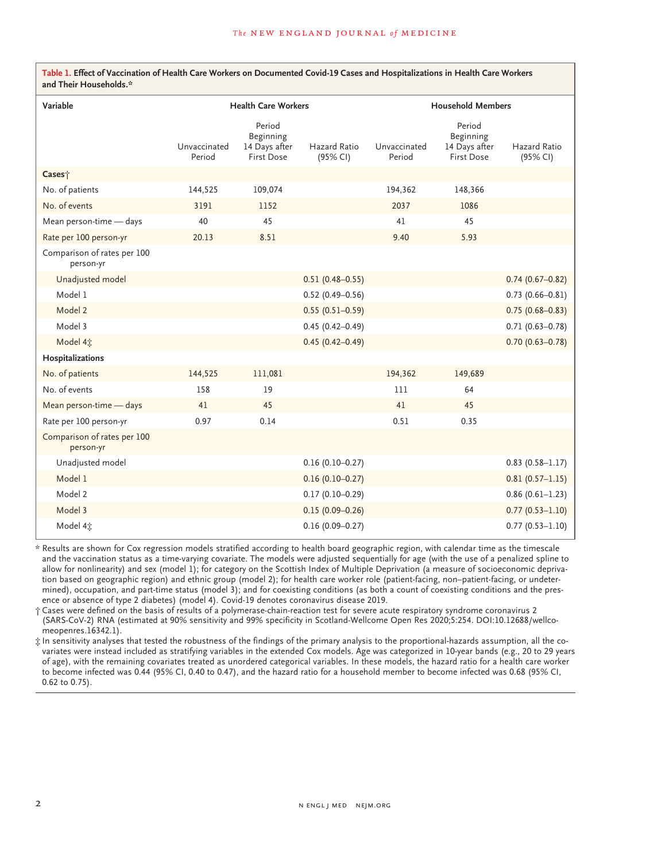| Variable                                 | <b>Health Care Workers</b> |                                                           |                                 | <b>Household Members</b> |                                                           |                          |
|------------------------------------------|----------------------------|-----------------------------------------------------------|---------------------------------|--------------------------|-----------------------------------------------------------|--------------------------|
|                                          | Unvaccinated<br>Period     | Period<br>Beginning<br>14 Days after<br><b>First Dose</b> | <b>Hazard Ratio</b><br>(95% CI) | Unvaccinated<br>Period   | Period<br>Beginning<br>14 Days after<br><b>First Dose</b> | Hazard Ratio<br>(95% CI) |
| Cases <sup>+</sup>                       |                            |                                                           |                                 |                          |                                                           |                          |
| No. of patients                          | 144,525                    | 109,074                                                   |                                 | 194,362                  | 148,366                                                   |                          |
| No. of events                            | 3191                       | 1152                                                      |                                 | 2037                     | 1086                                                      |                          |
| Mean person-time - days                  | 40                         | 45                                                        |                                 | 41                       | 45                                                        |                          |
| Rate per 100 person-yr                   | 20.13                      | 8.51                                                      |                                 | 9.40                     | 5.93                                                      |                          |
| Comparison of rates per 100<br>person-yr |                            |                                                           |                                 |                          |                                                           |                          |
| Unadjusted model                         |                            |                                                           | $0.51(0.48 - 0.55)$             |                          |                                                           | $0.74(0.67 - 0.82)$      |
| Model 1                                  |                            |                                                           | $0.52(0.49 - 0.56)$             |                          |                                                           | $0.73(0.66 - 0.81)$      |
| Model 2                                  |                            |                                                           | $0.55(0.51 - 0.59)$             |                          |                                                           | $0.75(0.68 - 0.83)$      |
| Model 3                                  |                            |                                                           | $0.45(0.42 - 0.49)$             |                          |                                                           | $0.71(0.63 - 0.78)$      |
| Model 4 $\ddagger$                       |                            |                                                           | $0.45(0.42 - 0.49)$             |                          |                                                           | $0.70(0.63 - 0.78)$      |
| Hospitalizations                         |                            |                                                           |                                 |                          |                                                           |                          |
| No. of patients                          | 144,525                    | 111,081                                                   |                                 | 194,362                  | 149,689                                                   |                          |
| No. of events                            | 158                        | 19                                                        |                                 | 111                      | 64                                                        |                          |
| Mean person-time - days                  | 41                         | 45                                                        |                                 | 41                       | 45                                                        |                          |
| Rate per 100 person-yr                   | 0.97                       | 0.14                                                      |                                 | 0.51                     | 0.35                                                      |                          |
| Comparison of rates per 100<br>person-yr |                            |                                                           |                                 |                          |                                                           |                          |
| Unadjusted model                         |                            |                                                           | $0.16(0.10 - 0.27)$             |                          |                                                           | $0.83(0.58 - 1.17)$      |
| Model 1                                  |                            |                                                           | $0.16(0.10 - 0.27)$             |                          |                                                           | $0.81(0.57-1.15)$        |
| Model 2                                  |                            |                                                           | $0.17(0.10 - 0.29)$             |                          |                                                           | $0.86(0.61-1.23)$        |
| Model 3                                  |                            |                                                           | $0.15(0.09 - 0.26)$             |                          |                                                           | $0.77(0.53 - 1.10)$      |
| Model 4 $\ddagger$                       |                            |                                                           | $0.16(0.09 - 0.27)$             |                          |                                                           | $0.77(0.53 - 1.10)$      |

\* Results are shown for Cox regression models stratified according to health board geographic region, with calendar time as the timescale and the vaccination status as a time-varying covariate. The models were adjusted sequentially for age (with the use of a penalized spline to allow for nonlinearity) and sex (model 1); for category on the Scottish Index of Multiple Deprivation (a measure of socioeconomic deprivation based on geographic region) and ethnic group (model 2); for health care worker role (patient-facing, non–patient-facing, or undetermined), occupation, and part-time status (model 3); and for coexisting conditions (as both a count of coexisting conditions and the presence or absence of type 2 diabetes) (model 4). Covid-19 denotes coronavirus disease 2019.

† Cases were defined on the basis of results of a polymerase-chain-reaction test for severe acute respiratory syndrome coronavirus 2 (SARS-CoV-2) RNA (estimated at 90% sensitivity and 99% specificity in Scotland-Wellcome Open Res 2020;5:254. DOI:10.12688/wellcomeopenres.16342.1).

‡ In sensitivity analyses that tested the robustness of the findings of the primary analysis to the proportional-hazards assumption, all the covariates were instead included as stratifying variables in the extended Cox models. Age was categorized in 10-year bands (e.g., 20 to 29 years of age), with the remaining covariates treated as unordered categorical variables. In these models, the hazard ratio for a health care worker to become infected was 0.44 (95% CI, 0.40 to 0.47), and the hazard ratio for a household member to become infected was 0.68 (95% CI, 0.62 to 0.75).